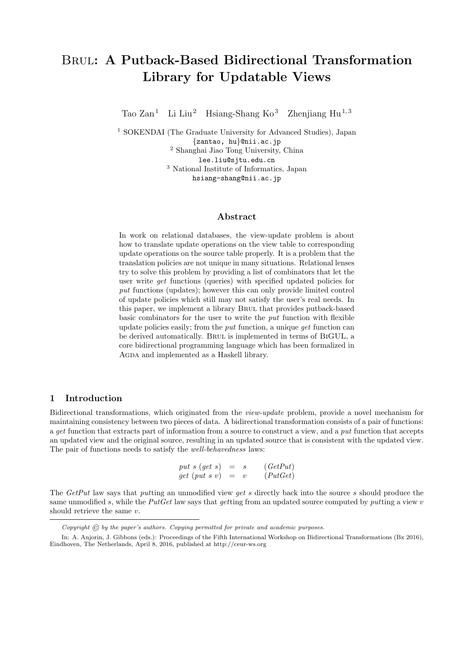# Brul: A Putback-Based Bidirectional Transformation Library for Updatable Views

Tao  $\mathrm{Zan}^{1}$  Li Liu<sup>2</sup> Hsiang-Shang Ko<sup>3</sup> Zhenjiang Hu<sup>1,3</sup>

<sup>1</sup> SOKENDAI (The Graduate University for Advanced Studies), Japan {zantao, hu}@nii.ac.jp <sup>2</sup> Shanghai Jiao Tong University, China lee.liu@sjtu.edu.cn <sup>3</sup> National Institute of Informatics, Japan hsiang-shang@nii.ac.jp

## Abstract

In work on relational databases, the view-update problem is about how to translate update operations on the view table to corresponding update operations on the source table properly. It is a problem that the translation policies are not unique in many situations. Relational lenses try to solve this problem by providing a list of combinators that let the user write *get* functions (queries) with specified updated policies for put functions (updates); however this can only provide limited control of update policies which still may not satisfy the user's real needs. In this paper, we implement a library BRUL that provides putback-based basic combinators for the user to write the put function with flexible update policies easily; from the put function, a unique get function can be derived automatically. BRUL is implemented in terms of BIGUL, a core bidirectional programming language which has been formalized in AGDA and implemented as a Haskell library.

## 1 Introduction

Bidirectional transformations, which originated from the view-update problem, provide a novel mechanism for maintaining consistency between two pieces of data. A bidirectional transformation consists of a pair of functions: a get function that extracts part of information from a source to construct a view, and a put function that accepts an updated view and the original source, resulting in an updated source that is consistent with the updated view. The pair of functions needs to satisfy the well-behavedness laws:

> put s  $(\text{get } s) = s \quad (\text{GetPut})$  $\det (put \, s \, v) = v \qquad (Put Get)$

The GetPut law says that putting an unmodified view get s directly back into the source s should produce the same unmodified s, while the PutGet law says that getting from an updated source computed by putting a view  $v$ should retrieve the same v.

Copyright  $\mathcal O$  by the paper's authors. Copying permitted for private and academic purposes.

In: A. Anjorin, J. Gibbons (eds.): Proceedings of the Fifth International Workshop on Bidirectional Transformations (Bx 2016), Eindhoven, The Netherlands, April 8, 2016, published at http://ceur-ws.org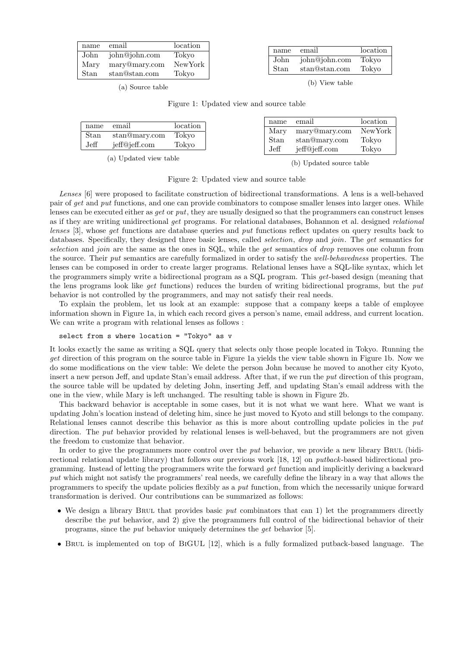| name         | email                                                | location                  | name         | email                          | location       |
|--------------|------------------------------------------------------|---------------------------|--------------|--------------------------------|----------------|
| Mary<br>Stan | John john@john.com<br>mary@mary.com<br>stan@stan.com | Tokvo<br>NewYork<br>Tokvo | John<br>Stan | john@john.com<br>stan@stan.com | Tokvo<br>Tokvo |

(a) Source table

(b) View table

| Figure 1: Updated view and source table |  |  |  |
|-----------------------------------------|--|--|--|
|                                         |  |  |  |

| name        | email         | location | name         | email                          | location       |
|-------------|---------------|----------|--------------|--------------------------------|----------------|
| Stan        | stan@mary.com | Tokvo    | Mary         | mary@mary.com                  | NewYork        |
| $\rm{Jeff}$ | jeff@jeff.com | Tokyo    | Stan<br>Jeff | stan@mary.com<br>ieff@jeff.com | Tokyo<br>Tokyo |
|             |               |          |              |                                |                |

(a) Updated view table

(b) Updated source table

Figure 2: Updated view and source table

Lenses [6] were proposed to facilitate construction of bidirectional transformations. A lens is a well-behaved pair of get and put functions, and one can provide combinators to compose smaller lenses into larger ones. While lenses can be executed either as get or put, they are usually designed so that the programmers can construct lenses as if they are writing unidirectional get programs. For relational databases, Bohannon et al. designed relational lenses [3], whose get functions are database queries and put functions reflect updates on query results back to databases. Specifically, they designed three basic lenses, called *selection, drop* and *join*. The get semantics for selection and join are the same as the ones in SQL, while the get semantics of drop removes one column from the source. Their put semantics are carefully formalized in order to satisfy the well-behavedness properties. The lenses can be composed in order to create larger programs. Relational lenses have a SQL-like syntax, which let the programmers simply write a bidirectional program as a SQL program. This get-based design (meaning that the lens programs look like get functions) reduces the burden of writing bidirectional programs, but the put behavior is not controlled by the programmers, and may not satisfy their real needs.

To explain the problem, let us look at an example: suppose that a company keeps a table of employee information shown in Figure 1a, in which each record gives a person's name, email address, and current location. We can write a program with relational lenses as follows :

select from s where location = "Tokyo" as v

It looks exactly the same as writing a SQL query that selects only those people located in Tokyo. Running the get direction of this program on the source table in Figure 1a yields the view table shown in Figure 1b. Now we do some modifications on the view table: We delete the person John because he moved to another city Kyoto, insert a new person Jeff, and update Stan's email address. After that, if we run the *put* direction of this program, the source table will be updated by deleting John, inserting Jeff, and updating Stan's email address with the one in the view, while Mary is left unchanged. The resulting table is shown in Figure 2b.

This backward behavior is acceptable in some cases, but it is not what we want here. What we want is updating John's location instead of deleting him, since he just moved to Kyoto and still belongs to the company. Relational lenses cannot describe this behavior as this is more about controlling update policies in the put direction. The *put* behavior provided by relational lenses is well-behaved, but the programmers are not given the freedom to customize that behavior.

In order to give the programmers more control over the *put* behavior, we provide a new library BRUL (bidirectional relational update library) that follows our previous work [18, 12] on putback-based bidirectional programming. Instead of letting the programmers write the forward get function and implicitly deriving a backward put which might not satisfy the programmers' real needs, we carefully define the library in a way that allows the programmers to specify the update policies flexibly as a put function, from which the necessarily unique forward transformation is derived. Our contributions can be summarized as follows:

- We design a library BRUL that provides basic *put* combinators that can 1) let the programmers directly describe the put behavior, and 2) give the programmers full control of the bidirectional behavior of their programs, since the put behavior uniquely determines the get behavior [5].
- Brul is implemented on top of BiGUL [12], which is a fully formalized putback-based language. The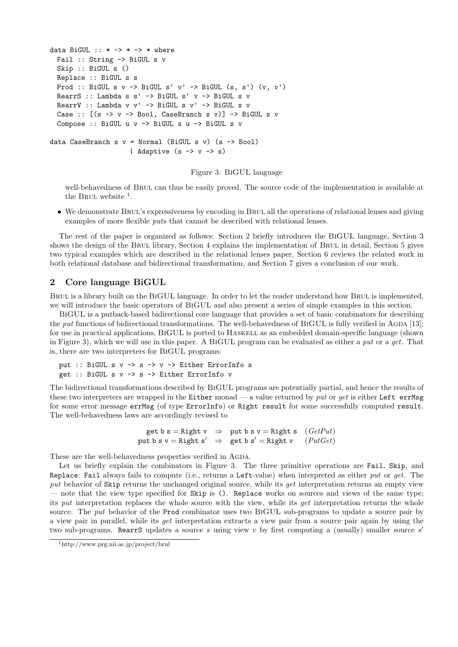```
data BiGUL :: * \rightarrow * \rightarrow * where
 Fail :: String -> BiGUL s v
  Skip :: BiGUL s ()
 Replace :: BiGUL s s
  Prod :: BiGUL s v \rightarrow BiGUL s' v' \rightarrow BiGUL (s, s') (v, v')
  RearrS :: Lambda s s' -> BiGUL s' v -> BiGUL s v
  RearrV :: Lambda v v' \rightarrow BiGUL s v' \rightarrow BiGUL s v
  Case :: [(s \rightarrow v \rightarrow Book, CaseBranch s v)] \rightarrow BidUL s vCompose :: BiGUL u v -> BiGUL s u -> BiGUL s v
data CaseBranch s v = Normal (BiGUL s v) (s -> Bool)
                        | Adaptive (s \rightarrow v \rightarrow s)
```
Figure 3: BiGUL language

well-behavedness of Brul can thus be easily proved. The source code of the implementation is available at the BRUL website  $<sup>1</sup>$ .</sup>

• We demonstrate BRUL's expressiveness by encoding in BRUL all the operations of relational lenses and giving examples of more flexible puts that cannot be described with relational lenses.

The rest of the paper is organized as follows: Section 2 briefly introduces the BiGUL language, Section 3 shows the design of the BRUL library, Section 4 explains the implementation of BRUL in detail, Section 5 gives two typical examples which are described in the relational lenses paper, Section 6 reviews the related work in both relational database and bidirectional transformation, and Section 7 gives a conclusion of our work.

## 2 Core language BiGUL

BRUL is a library built on the BIGUL language. In order to let the reader understand how BRUL is implemented, we will introduce the basic operators of BiGUL and also present a series of simple examples in this section.

BiGUL is a putback-based bidirectional core language that provides a set of basic combinators for describing the put functions of bidirectional transformations. The well-behavedness of BIGUL is fully verified in AGDA [13]; for use in practical applications, BiGUL is ported to Haskell as an embedded domain-specific language (shown in Figure 3), which we will use in this paper. A BiGUL program can be evaluated as either a put or a get. That is, there are two interpreters for BiGUL programs:

```
put :: BiGUL s v -> s -> v -> Either ErrorInfo s
get :: BiGUL s v -> s -> Either ErrorInfo v
```
The bidirectional transformations described by BiGUL programs are potentially partial, and hence the results of these two interpreters are wrapped in the Either monad — a value returned by put or get is either Left errMsg for some error message errMsg (of type ErrorInfo) or Right result for some successfully computed result. The well-behavedness laws are accordingly revised to

```
get b s = Right v \Rightarrow put b s v = Right s (GetPut)put b s v = Right s' \Rightarrow get b s' = Right v (PutGet)
```
These are the well-behavedness properties verified in AGDA.

Let us briefly explain the combinators in Figure 3. The three primitive operations are Fail, Skip, and Replace: Fail always fails to compute (i.e., returns a Left-value) when interpreted as either put or get. The put behavior of Skip returns the unchanged original source, while its get interpretation returns an empty view — note that the view type specified for Skip is (). Replace works on sources and views of the same type; its put interpretation replaces the whole source with the view, while its get interpretation returns the whole source. The *put* behavior of the Prod combinator uses two BIGUL sub-programs to update a source pair by a view pair in parallel, while its get interpretation extracts a view pair from a source pair again by using the two sub-programs. RearrS updates a source s using view  $v$  by first computing a (usually) smaller source  $s'$ 

<sup>1</sup>http://www.prg.nii.ac.jp/project/brul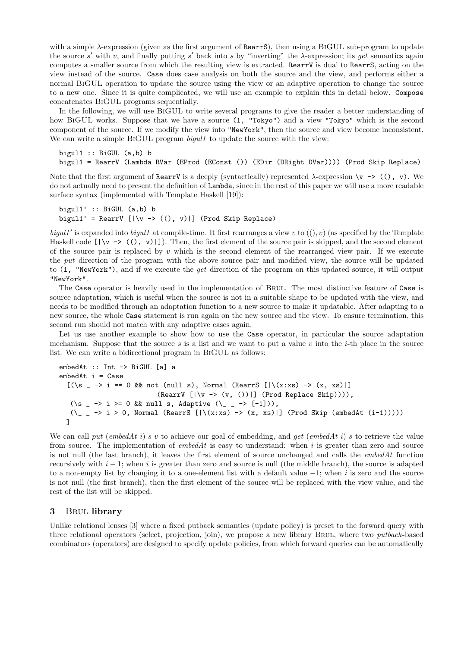with a simple  $\lambda$ -expression (given as the first argument of RearrS), then using a BIGUL sub-program to update the source s' with v, and finally putting s' back into s by "inverting" the  $\lambda$ -expression; its get semantics again computes a smaller source from which the resulting view is extracted. RearrV is dual to RearrS, acting on the view instead of the source. Case does case analysis on both the source and the view, and performs either a normal BiGUL operation to update the source using the view or an adaptive operation to change the source to a new one. Since it is quite complicated, we will use an example to explain this in detail below. Compose concatenates BiGUL programs sequentially.

In the following, we will use BiGUL to write several programs to give the reader a better understanding of how BIGUL works. Suppose that we have a source  $(1, "Tokyo")$  and a view "Tokyo" which is the second component of the source. If we modify the view into "NewYork", then the source and view become inconsistent. We can write a simple BIGUL program *bigul1* to update the source with the view:

bigul1 :: BiGUL (a,b) b bigul1 = RearrV (Lambda RVar (EProd (EConst ()) (EDir (DRight DVar)))) (Prod Skip Replace)

Note that the first argument of RearrV is a deeply (syntactically) represented  $\lambda$ -expression  $\forall v \rightarrow (()$ , v). We do not actually need to present the definition of Lambda, since in the rest of this paper we will use a more readable surface syntax (implemented with Template Haskell [19]):

```
bigul1' :: BiGUL (a,b) b
bigul1' = RearrV [|\v v \rightarrow ((), v)|] (Prod Skip Replace)
```
bigul1' is expanded into bigul1 at compile-time. It first rearranges a view v to  $((), v)$  (as specified by the Template Haskell code  $[|\v v \rightarrow (\v c), v\rangle]$ . Then, the first element of the source pair is skipped, and the second element of the source pair is replaced by  $v$  which is the second element of the rearranged view pair. If we execute the put direction of the program with the above source pair and modified view, the source will be updated to (1, "NewYork"), and if we execute the get direction of the program on this updated source, it will output "NewYork".

The Case operator is heavily used in the implementation of BRUL. The most distinctive feature of Case is source adaptation, which is useful when the source is not in a suitable shape to be updated with the view, and needs to be modified through an adaptation function to a new source to make it updatable. After adapting to a new source, the whole Case statement is run again on the new source and the view. To ensure termination, this second run should not match with any adaptive cases again.

Let us use another example to show how to use the Case operator, in particular the source adaptation mechanism. Suppose that the source s is a list and we want to put a value v into the i-th place in the source list. We can write a bidirectional program in BiGUL as follows:

```
embedAt :: Int -> BiGUL [a] a
embedAt i = Case[(\s - \rightarrow i == 0 \& not (null s), Normal (RearrS [)(x:xs) \rightarrow (x, xs))](RearrV [|\v v \rightarrow (v, ())|] (Prod Replace Skip)))),
  (\s - > i > = 0 & null s, Adaptive (\_ - > [-1])),
  (\_ _ -> i > 0, Normal (RearrS [|\(x:xs) -> (x, xs)|] (Prod Skip (embedAt (i-1)))))
 ]
```
We can call put (embedAt i) s v to achieve our goal of embedding, and get (embedAt i) s to retrieve the value from source. The implementation of  $embedAt$  is easy to understand: when i is greater than zero and source is not null (the last branch), it leaves the first element of source unchanged and calls the embedAt function recursively with  $i - 1$ ; when i is greater than zero and source is null (the middle branch), the source is adapted to a non-empty list by changing it to a one-element list with a default value −1; when i is zero and the source is not null (the first branch), then the first element of the source will be replaced with the view value, and the rest of the list will be skipped.

## 3 Brul library

Unlike relational lenses [3] where a fixed putback semantics (update policy) is preset to the forward query with three relational operators (select, projection, join), we propose a new library BRUL, where two *putback*-based combinators (operators) are designed to specify update policies, from which forward queries can be automatically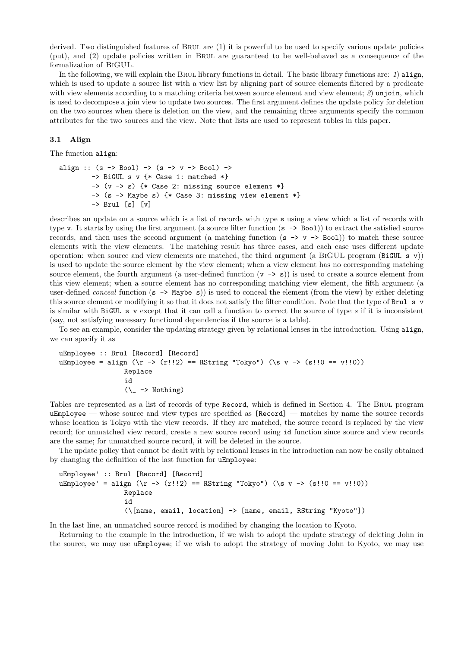derived. Two distinguished features of Brul are (1) it is powerful to be used to specify various update policies (put), and (2) update policies written in Brul are guaranteed to be well-behaved as a consequence of the formalization of BiGUL.

In the following, we will explain the BRUL library functions in detail. The basic library functions are:  $1)$  align, which is used to update a source list with a view list by aligning part of source elements filtered by a predicate with view elements according to a matching criteria between source element and view element; 2) unjoin, which is used to decompose a join view to update two sources. The first argument defines the update policy for deletion on the two sources when there is deletion on the view, and the remaining three arguments specify the common attributes for the two sources and the view. Note that lists are used to represent tables in this paper.

#### 3.1 Align

The function align:

```
align :: (s \rightarrow Bool) \rightarrow (s \rightarrow v \rightarrow Bool) \rightarrow\Rightarrow BiGUL s v {* Case 1: matched *}
           \rightarrow (v \rightarrow s) {* Case 2: missing source element *}
           -> (s -> Maybe s) {* Case 3: missing view element *}
           -> Brul [s] [v]
```
describes an update on a source which is a list of records with type s using a view which a list of records with type v. It starts by using the first argument (a source filter function (s -> Bool)) to extract the satisfied source records, and then uses the second argument (a matching function  $(s \rightarrow v \rightarrow Bool)$ ) to match these source elements with the view elements. The matching result has three cases, and each case uses different update operation: when source and view elements are matched, the third argument (a BIGUL program (BiGUL s v)) is used to update the source element by the view element; when a view element has no corresponding matching source element, the fourth argument (a user-defined function  $(v \rightarrow s)$ ) is used to create a source element from this view element; when a source element has no corresponding matching view element, the fifth argument (a user-defined *conceal* function  $(s \rightarrow \text{Map } s)$  is used to conceal the element (from the view) by either deleting this source element or modifying it so that it does not satisfy the filter condition. Note that the type of Brul s v is similar with  $BiGUL \succeq v$  except that it can call a function to correct the source of type s if it is inconsistent (say, not satisfying necessary functional dependencies if the source is a table).

To see an example, consider the updating strategy given by relational lenses in the introduction. Using align, we can specify it as

```
uEmployee :: Brul [Record] [Record]
uEmployee = align (\r - > (r!)2) == RString "Tokyo") (\s v - > (s!)0 == v!!0))
                Replace
                id
                 (\_ -> Nothing)
```
Tables are represented as a list of records of type Record, which is defined in Section 4. The Brul program uEmployee — whose source and view types are specified as [Record] — matches by name the source records whose location is Tokyo with the view records. If they are matched, the source record is replaced by the view record; for unmatched view record, create a new source record using id function since source and view records are the same; for unmatched source record, it will be deleted in the source.

The update policy that cannot be dealt with by relational lenses in the introduction can now be easily obtained by changing the definition of the last function for uEmployee:

```
uEmployee' :: Brul [Record] [Record]
uEmployee' = align (\r -> (r!!2) == RString "Tokyo") (\s v -> (s!!0 == v!!0))
                Replace
                id
                (\[name, email, location] -> [name, email, RString "Kyoto"])
```
In the last line, an unmatched source record is modified by changing the location to Kyoto.

Returning to the example in the introduction, if we wish to adopt the update strategy of deleting John in the source, we may use uEmployee; if we wish to adopt the strategy of moving John to Kyoto, we may use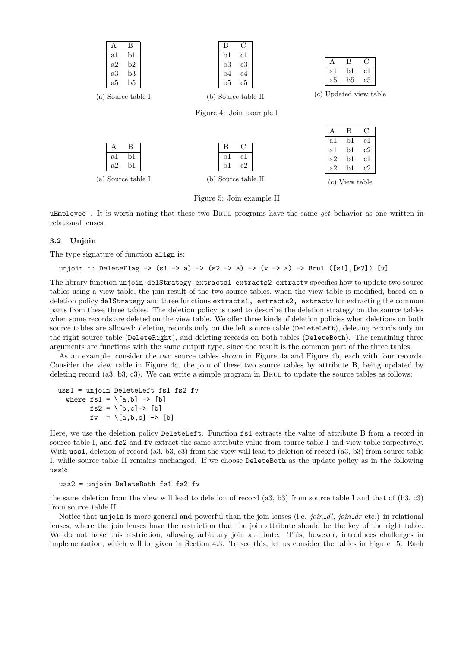| А                  | В  | C<br>B                   |                         |  |
|--------------------|----|--------------------------|-------------------------|--|
| a1                 | b1 | c1<br>b1                 |                         |  |
| a2                 | b2 | b3<br>c3                 | B<br>С<br>A             |  |
| a3                 | b3 | b4<br>c4                 | b1<br>c1<br>a1          |  |
| a5                 | b5 | b5<br>$_{\rm c5}$        | b5<br>a5<br>$_{\rm c5}$ |  |
| (a) Source table I |    | (b) Source table II      | (c) Updated view table  |  |
|                    |    | Figure 4: Join example I |                         |  |
|                    |    |                          | B<br>С<br>A             |  |
|                    |    |                          | b1<br>c1<br>a1          |  |
| А                  | В  | С<br>B                   | b1<br>a1<br>c2          |  |
| a1                 | b1 | b1<br>c1                 | b1<br>a2<br>c1          |  |
| a2                 | b1 | $_{\rm b1}$<br>c2        | b1<br>a2<br>c2          |  |
| (a) Source table I |    | (b) Source table II      | View table<br>(c)       |  |

Figure 5: Join example II

uEmployee'. It is worth noting that these two BRUL programs have the same get behavior as one written in relational lenses.

#### 3.2 Unjoin

The type signature of function align is:

## unjoin :: DeleteFlag -> (s1 -> a) -> (s2 -> a) -> (v -> a) -> Brul ([s1], [s2]) [v]

The library function unjoin delStrategy extracts1 extracts2 extracty specifies how to update two source tables using a view table, the join result of the two source tables, when the view table is modified, based on a deletion policy delStrategy and three functions extracts1, extracts2, extractv for extracting the common parts from these three tables. The deletion policy is used to describe the deletion strategy on the source tables when some records are deleted on the view table. We offer three kinds of deletion policies when deletions on both source tables are allowed: deleting records only on the left source table (DeleteLeft), deleting records only on the right source table (DeleteRight), and deleting records on both tables (DeleteBoth). The remaining three arguments are functions with the same output type, since the result is the common part of the three tables.

As an example, consider the two source tables shown in Figure 4a and Figure 4b, each with four records. Consider the view table in Figure 4c, the join of these two source tables by attribute B, being updated by deleting record  $(a3, b3, c3)$ . We can write a simple program in BRUL to update the source tables as follows:

```
uss1 = unjoin DeleteLeft fs1 fs2 fv
  where fs1 = \{[a,b] \rightarrow [b]\}fs2 = \{b, c\} > [b]f_v = \{[a,b,c] \rightarrow [b]\}
```
Here, we use the deletion policy DeleteLeft. Function fs1 extracts the value of attribute B from a record in source table I, and fs2 and fv extract the same attribute value from source table I and view table respectively. With uss1, deletion of record (a3, b3, c3) from the view will lead to deletion of record (a3, b3) from source table I, while source table II remains unchanged. If we choose DeleteBoth as the update policy as in the following uss2:

uss2 = unjoin DeleteBoth fs1 fs2 fv

the same deletion from the view will lead to deletion of record  $(a3, b3)$  from source table I and that of  $(b3, c3)$ from source table II.

Notice that unjoin is more general and powerful than the join lenses (i.e.  $join\_dl$ ,  $join\_dr$  etc.) in relational lenses, where the join lenses have the restriction that the join attribute should be the key of the right table. We do not have this restriction, allowing arbitrary join attribute. This, however, introduces challenges in implementation, which will be given in Section 4.3. To see this, let us consider the tables in Figure 5. Each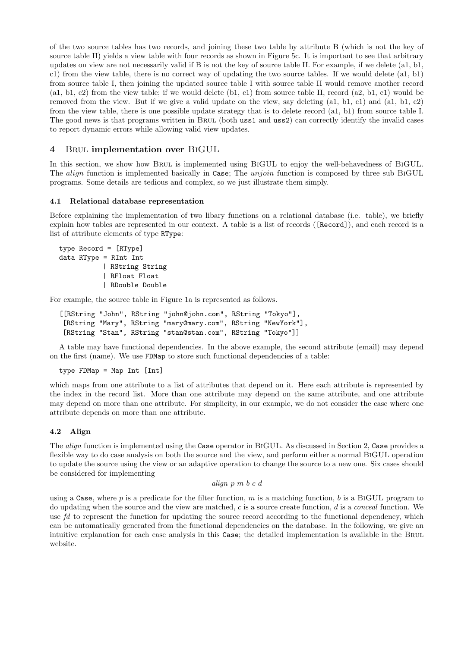of the two source tables has two records, and joining these two table by attribute B (which is not the key of source table II) yields a view table with four records as shown in Figure 5c. It is important to see that arbitrary updates on view are not necessarily valid if B is not the key of source table II. For example, if we delete (a1, b1, c1) from the view table, there is no correct way of updating the two source tables. If we would delete (a1, b1) from source table I, then joining the updated source table I with source table II would remove another record (a1, b1, c2) from the view table; if we would delete (b1, c1) from source table II, record (a2, b1, c1) would be removed from the view. But if we give a valid update on the view, say deleting (a1, b1, c1) and (a1, b1, c2) from the view table, there is one possible update strategy that is to delete record (a1, b1) from source table I. The good news is that programs written in BRUL (both uss1 and uss2) can correctly identify the invalid cases to report dynamic errors while allowing valid view updates.

## 4 Brul implementation over BiGUL

In this section, we show how BRUL is implemented using BIGUL to enjoy the well-behavedness of BIGUL. The align function is implemented basically in Case; The unjoin function is composed by three sub BIGUL programs. Some details are tedious and complex, so we just illustrate them simply.

#### 4.1 Relational database representation

Before explaining the implementation of two libary functions on a relational database (i.e. table), we briefly explain how tables are represented in our context. A table is a list of records ([Record]), and each record is a list of attribute elements of type RType:

```
type Record = [RType]
data RType = RInt Int
           | RString String
           | RFloat Float
           | RDouble Double
```
For example, the source table in Figure 1a is represented as follows.

```
[[RString "John", RString "john@john.com", RString "Tokyo"],
[RString "Mary", RString "mary@mary.com", RString "NewYork"],
[RString "Stan", RString "stan@stan.com", RString "Tokyo"]]
```
A table may have functional dependencies. In the above example, the second attribute (email) may depend on the first (name). We use FDMap to store such functional dependencies of a table:

type FDMap = Map Int [Int]

which maps from one attribute to a list of attributes that depend on it. Here each attribute is represented by the index in the record list. More than one attribute may depend on the same attribute, and one attribute may depend on more than one attribute. For simplicity, in our example, we do not consider the case where one attribute depends on more than one attribute.

## 4.2 Align

The align function is implemented using the Case operator in BiGUL. As discussed in Section 2, Case provides a flexible way to do case analysis on both the source and the view, and perform either a normal BiGUL operation to update the source using the view or an adaptive operation to change the source to a new one. Six cases should be considered for implementing

```
align p m b c d
```
using a Case, where p is a predicate for the filter function, m is a matching function, b is a BIGUL program to do updating when the source and the view are matched, c is a source create function, d is a conceal function. We use fd to represent the function for updating the source record according to the functional dependency, which can be automatically generated from the functional dependencies on the database. In the following, we give an intuitive explanation for each case analysis in this Case; the detailed implementation is available in the BRUL website.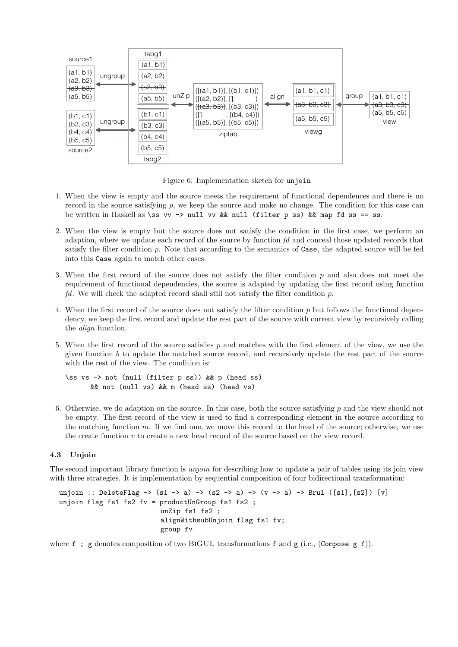

Figure 6: Implementation sketch for unjoin

- 1. When the view is empty and the source meets the requirement of functional dependences and there is no record in the source satisfying p, we keep the source and make no change. The condition for this case can be written in Haskell as \ss vv -> null vv && null (filter p ss) && map fd ss == ss.
- 2. When the view is empty but the source does not satisfy the condition in the first case, we perform an adaption, where we update each record of the source by function  $fd$  and conceal those updated records that satisfy the filter condition p. Note that according to the semantics of Case, the adapted source will be fed into this Case again to match other cases.
- 3. When the first record of the source does not satisfy the filter condition  $p$  and also does not meet the requirement of functional dependencies, the source is adapted by updating the first record using function fd. We will check the adapted record shall still not satisfy the filter condition  $p$ .
- 4. When the first record of the source does not satisfy the filter condition p but follows the functional dependency, we keep the first record and update the rest part of the source with current view by recursively calling the align function.
- 5. When the first record of the source satisfies p and matches with the first element of the view, we use the given function  $b$  to update the matched source record, and recursively update the rest part of the source with the rest of the view. The condition is:

```
\ss vs -> not (null (filter p ss)) && p (head ss)
      && not (null vs) && m (head ss) (head vs)
```
6. Otherwise, we do adaption on the source. In this case, both the source satisfying  $p$  and the view should not be empty. The first record of the view is used to find a corresponding element in the source according to the matching function m. If we find one, we move this record to the head of the source; otherwise, we use the create function  $v$  to create a new head record of the source based on the view record.

### 4.3 Unjoin

The second important library function is *unjoin* for describing how to update a pair of tables using its join view with three strategies. It is implementation by sequential composition of four bidirectional transformation:

```
unjoin :: DeleteFlag -> (s1 -> a) -> (s2 -> a) -> (v -> a) -> Brul ([s1], [s2]) [v]
unjoin flag fs1 fs2 fv = productUnGroup fs1 fs2 ;
                         unZip fs1 fs2 ;
                          alignWithsubUnjoin flag fs1 fv;
                          group fv
```
where f; g denotes composition of two BIGUL transformations f and g (i.e., (Compose g f)).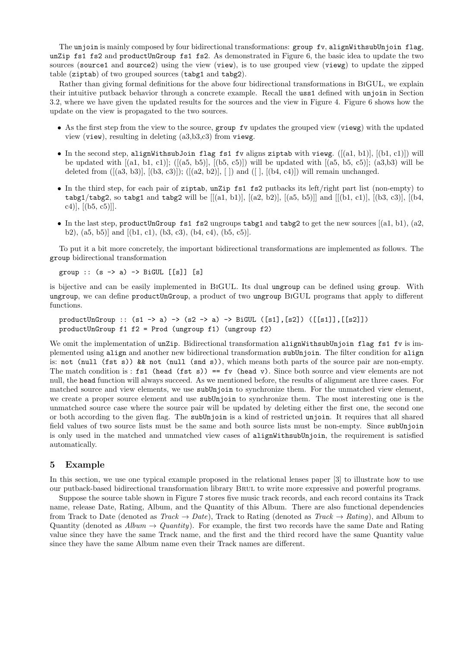The unjoin is mainly composed by four bidirectional transformations: group fv, alignWithsubUnjoin flag, unZip fs1 fs2 and productUnGroup fs1 fs2. As demonstrated in Figure 6, the basic idea to update the two sources (source1 and source2) using the view (view), is to use grouped view (viewg) to update the zipped table (ziptab) of two grouped sources (tabg1 and tabg2).

Rather than giving formal definitions for the above four bidirectional transformations in BiGUL, we explain their intuitive putback behavior through a concrete example. Recall the uss1 defined with unjoin in Section 3.2, where we have given the updated results for the sources and the view in Figure 4. Figure 6 shows how the update on the view is propagated to the two sources.

- As the first step from the view to the source, group fv updates the grouped view (viewg) with the updated view (view), resulting in deleting (a3,b3,c3) from viewg.
- In the second step, alignWithsubJoin flag fs1 fv aligns ziptab with viewg.  $([a1, b1], [b1, c1]])$  will be updated with  $[(a1, b1, c1)];$   $([(a5, b5)], [(b5, c5)])$  will be updated with  $[(a5, b5, c5)];$   $(a3,b3)$  will be deleted from  $([a3, b3)], [(b3, c3)]); ([a2, b2)], [1]$  and  $([1, [b4, c4)])$  will remain unchanged.
- In the third step, for each pair of ziptab, unZip fs1 fs2 putbacks its left/right part list (non-empty) to tabg1/tabg2, so tabg1 and tabg2 will be  $[[(a1, b1)], [(a2, b2)], [(a5, b5)]]$  and  $[[(b1, c1)], [(b3, c3)], [(b4, b2), (b4, b3)]$ c4)],  $[(b5, c5)]$ ].
- In the last step, productUnGroup fs1 fs2 ungroups tabg1 and tabg2 to get the new sources  $[(a1, b1), (a2,$ b2),  $(a5, b5)$ ] and  $[(b1, c1), (b3, c3), (b4, c4), (b5, c5)].$

To put it a bit more concretely, the important bidirectional transformations are implemented as follows. The group bidirectional transformation

group :: (s -> a) -> BiGUL [[s]] [s]

is bijective and can be easily implemented in BiGUL. Its dual ungroup can be defined using group. With ungroup, we can define productUnGroup, a product of two ungroup BiGUL programs that apply to different functions.

productUnGroup :: (s1 -> a) -> (s2 -> a) -> BiGUL ([s1],[s2]) ([[s1]],[[s2]]) productUnGroup f1 f2 = Prod (ungroup f1) (ungroup f2)

We omit the implementation of unZip. Bidirectional transformation alignWithsubUnjoin flag fs1 fv is implemented using align and another new bidirectional transformation subUnjoin. The filter condition for align is: not (null (fst s)) && not (null (snd s)), which means both parts of the source pair are non-empty. The match condition is: fs1 (head (fst s)) == fv (head v). Since both source and view elements are not null, the head function will always succeed. As we mentioned before, the results of alignment are three cases. For matched source and view elements, we use subUnjoin to synchronize them. For the unmatched view element, we create a proper source element and use subUnjoin to synchronize them. The most interesting one is the unmatched source case where the source pair will be updated by deleting either the first one, the second one or both according to the given flag. The subUnjoin is a kind of restricted unjoin. It requires that all shared field values of two source lists must be the same and both source lists must be non-empty. Since subUnjoin is only used in the matched and unmatched view cases of alignWithsubUnjoin, the requirement is satisfied automatically.

#### 5 Example

In this section, we use one typical example proposed in the relational lenses paper [3] to illustrate how to use our putback-based bidirectional transformation library Brul to write more expressive and powerful programs.

Suppose the source table shown in Figure 7 stores five music track records, and each record contains its Track name, release Date, Rating, Album, and the Quantity of this Album. There are also functional dependencies from Track to Date (denoted as  $Track \rightarrow Date$ ), Track to Rating (denoted as  $Track \rightarrow Rating$ ), and Album to Quantity (denoted as  $Album \rightarrow Quantum$ ). For example, the first two records have the same Date and Rating value since they have the same Track name, and the first and the third record have the same Quantity value since they have the same Album name even their Track names are different.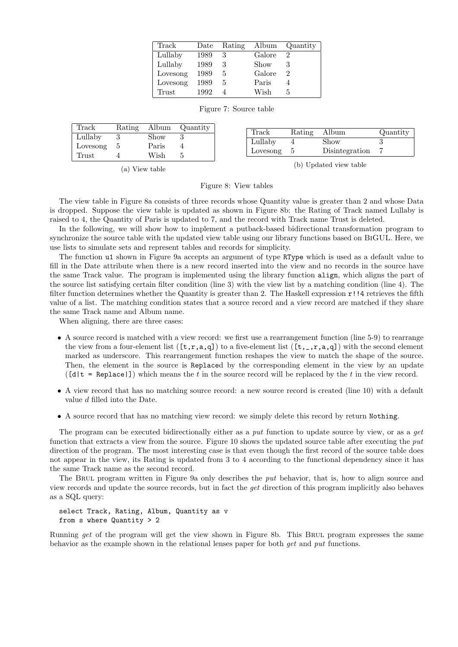| Track    | Date | Rating | Album  | Quantity |
|----------|------|--------|--------|----------|
| Lullaby  | 1989 | 3      | Galore | 2        |
| Lullaby  | 1989 | 3      | Show   |          |
| Lovesong | 1989 | 5      | Galore | 2        |
| Lovesong | 1989 | 5      | Paris  |          |
| Trust    | 1992 |        | Wish   | 5        |

Figure 7: Source table

| Track    | Rating | Album         | Quantity | Track    | Rating | Album          | Quantity |
|----------|--------|---------------|----------|----------|--------|----------------|----------|
| Lullaby  |        | $_{\rm Show}$ |          |          |        | Show           |          |
| Lovesong |        | Paris         |          | Lullaby  |        |                |          |
| Trust    |        | Wish          |          | Lovesong |        | Disintegration |          |

(a) View table

(b) Updated view table

Figure 8: View tables

The view table in Figure 8a consists of three records whose Quantity value is greater than 2 and whose Data is dropped. Suppose the view table is updated as shown in Figure 8b: the Rating of Track named Lullaby is raised to 4, the Quantity of Paris is updated to 7, and the record with Track name Trust is deleted.

In the following, we will show how to implement a putback-based bidirectional transformation program to synchronize the source table with the updated view table using our library functions based on BiGUL. Here, we use lists to simulate sets and represent tables and records for simplicity.

The function u1 shown in Figure 9a accepts an argument of type RType which is used as a default value to fill in the Date attribute when there is a new record inserted into the view and no records in the source have the same Track value. The program is implemented using the library function align, which aligns the part of the source list satisfying certain filter condition (line 3) with the view list by a matching condition (line 4). The filter function determines whether the Quantity is greater than 2. The Haskell expression  $r$ !! 4 retrieves the fifth value of a list. The matching condition states that a source record and a view record are matched if they share the same Track name and Album name.

When aligning, there are three cases:

- A source record is matched with a view record: we first use a rearrangement function (line 5-9) to rearrange the view from a four-element list  $(f, r, a, q)$  to a five-element list  $(f, r, a, q)$  with the second element marked as underscore. This rearrangement function reshapes the view to match the shape of the source. Then, the element in the source is Replaced by the corresponding element in the view by an update  $([d]t = Replace]]$  which means the t in the source record will be replaced by the t in the view record.
- A view record that has no matching source record: a new source record is created (line 10) with a default value d filled into the Date.
- A source record that has no matching view record: we simply delete this record by return Nothing.

The program can be executed bidirectionally either as a put function to update source by view, or as a get function that extracts a view from the source. Figure 10 shows the updated source table after executing the put direction of the program. The most interesting case is that even though the first record of the source table does not appear in the view, its Rating is updated from 3 to 4 according to the functional dependency since it has the same Track name as the second record.

The BRUL program written in Figure 9a only describes the *put* behavior, that is, how to align source and view records and update the source records, but in fact the get direction of this program implicitly also behaves as a SQL query:

select Track, Rating, Album, Quantity as v from s where Quantity > 2

Running get of the program will get the view shown in Figure 8b. This BRUL program expresses the same behavior as the example shown in the relational lenses paper for both get and put functions.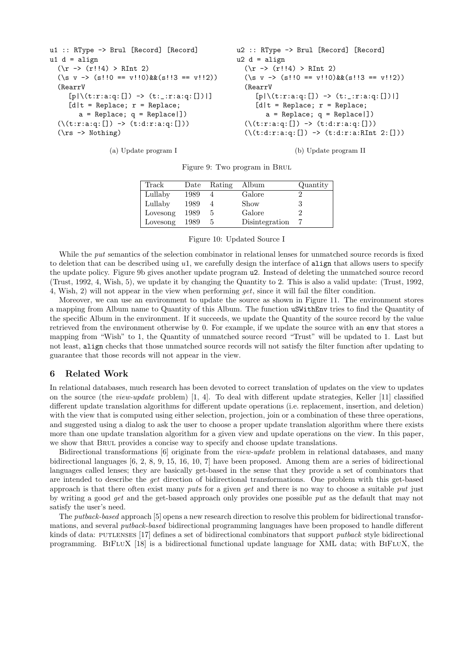```
u1 :: RType -> Brul [Record] [Record]
u1 d = a1ign
  (\rightharpoonup r : 4) > RInt 2)(\sqrt{s} \ v \rightarrow (s!!0 == v!!0)&&(s!!3 == v!!2)(RearrV
     [p|\setminus (t:r:a:q:[]) \rightarrow (t:-;r:a:q:[])[d|t = Replace; r = Replace;a = Replace; q = Replace])
  (\{(t):r:a:q:[]) \rightarrow (t:d:r:a:q:[]))(\rs -> Nothing)
```

```
u2 :: RType -> Brul [Record] [Record]
u2 d = align(\rightharpoonup r : 4) > RInt 2)(\sqrt{s} \ v \rightarrow (s!!0 == v!!0)&&(s!!3 == v!!2)(RearrV
     [p|\setminus (t:r:a:q:[]) \rightarrow (t:-:r:a:q:[])[d|t = Replace; r = Replace;a = Replace; q = Replace])
  (\{(t:r:a:q:[]) \rightarrow (t:d:r:a:q:[]))(\setminus (t:d:r:a:q:[]) \rightarrow (t:d:r:a:RInt 2:[]))
```
(a) Update program I

(b) Update program II

|  | Figure 9: Two program in BRUL |  |
|--|-------------------------------|--|
|  |                               |  |

| Track    | Date | Rating | Album          | Quantity |
|----------|------|--------|----------------|----------|
| Lullaby  | 1989 |        | Galore         |          |
| Lullaby  | 1989 |        | Show           | 3        |
| Lovesong | 1989 | 5      | Galore         |          |
| Lovesong | 1989 |        | Disintegration |          |
|          |      |        |                |          |

Figure 10: Updated Source I

While the *put* semantics of the selection combinator in relational lenses for unmatched source records is fixed to deletion that can be described using u1, we carefully design the interface of align that allows users to specify the update policy. Figure 9b gives another update program u2. Instead of deleting the unmatched source record (Trust, 1992, 4, Wish, 5), we update it by changing the Quantity to 2. This is also a valid update: (Trust, 1992, 4, Wish, 2) will not appear in the view when performing get, since it will fail the filter condition.

Moreover, we can use an environment to update the source as shown in Figure 11. The environment stores a mapping from Album name to Quantity of this Album. The function uSWithEnv tries to find the Quantity of the specific Album in the environment. If it succeeds, we update the Quantity of the source record by the value retrieved from the environment otherwise by 0. For example, if we update the source with an env that stores a mapping from "Wish" to 1, the Quantity of unmatched source record "Trust" will be updated to 1. Last but not least, align checks that those unmatched source records will not satisfy the filter function after updating to guarantee that those records will not appear in the view.

#### 6 Related Work

In relational databases, much research has been devoted to correct translation of updates on the view to updates on the source (the *view-update* problem) [1, 4]. To deal with different update strategies, Keller [11] classified different update translation algorithms for different update operations (i.e. replacement, insertion, and deletion) with the view that is computed using either selection, projection, join or a combination of these three operations, and suggested using a dialog to ask the user to choose a proper update translation algorithm where there exists more than one update translation algorithm for a given view and update operations on the view. In this paper, we show that Brul provides a concise way to specify and choose update translations.

Bidirectional transformations [6] originate from the *view-update* problem in relational databases, and many bidirectional languages [6, 2, 8, 9, 15, 16, 10, 7] have been proposed. Among them are a series of bidirectional languages called lenses; they are basically get-based in the sense that they provide a set of combinators that are intended to describe the get direction of bidirectional transformations. One problem with this get-based approach is that there often exist many puts for a given get and there is no way to choose a suitable put just by writing a good get and the get-based approach only provides one possible put as the default that may not satisfy the user's need.

The putback-based approach [5] opens a new research direction to resolve this problem for bidirectional transformations, and several putback-based bidirectional programming languages have been proposed to handle different kinds of data: PUTLENSES [17] defines a set of bidirectional combinators that support *putback* style bidirectional programming. BiFluX [18] is a bidirectional functional update language for XML data; with BiFluX, the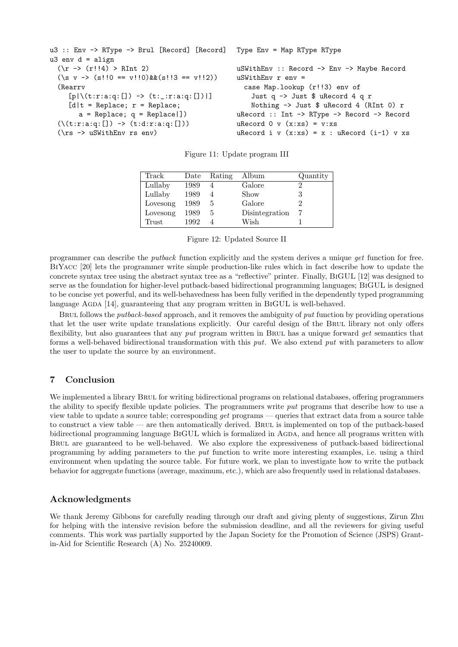```
u3 :: Env -> RType -> Brul [Record] [Record]
u3 env d = \text{align}(\rightharpoonup r : 4) > RInt 2)(\sqrt{s} \ v \rightarrow (s!!0 == v!!0) \&(s!!3 == v!!2))(Rearrv
     [p|\setminus (t:r:a:q:[]) \rightarrow (t:-;r:a:q:[])[d|t = Replace; r = Replace;a = Replace; q = Replace[](\{(t:r:a:q:[]) \rightarrow (t:d:r:a:q:[]))(\rs -> uSWithEnv rs env)
                                                    Type Env = Map RType RType
                                                    uSWithEnv :: Record -> Env -> Maybe Record
                                                    uSWithEnv r env =
                                                      case Map.lookup (r!!3) env of
                                                        Just q -> Just $ uRecord 4 q r
                                                        Nothing -> Just $ uRecord 4 (RInt 0) r
                                                    uRecord :: Int -> RType -> Record -> Record
                                                    uRecord 0 \text{ v } (x:xs) = v:xsuRecord i v (x:xs) = x : uRecord (i-1) v xs
```

| Track    | Date | Rating | Album          | Quantity |
|----------|------|--------|----------------|----------|
| Lullaby  | 1989 |        | Galore         |          |
| Lullaby  | 1989 |        | Show           | 3        |
| Lovesong | 1989 | 5.     | Galore         |          |
| Lovesong | 1989 | 5      | Disintegration |          |
| Trust    | 1992 |        | Wish           |          |

Figure 11: Update program III

Figure 12: Updated Source II

programmer can describe the putback function explicitly and the system derives a unique get function for free. BiYacc [20] lets the programmer write simple production-like rules which in fact describe how to update the concrete syntax tree using the abstract syntax tree as a "reflective" printer. Finally, BiGUL [12] was designed to serve as the foundation for higher-level putback-based bidirectional programming languages; BiGUL is designed to be concise yet powerful, and its well-behavedness has been fully verified in the dependently typed programming language AGDA [14], guaranteeing that any program written in BIGUL is well-behaved.

BRUL follows the *putback-based* approach, and it removes the ambiguity of *put* function by providing operations that let the user write update translations explicitly. Our careful design of the Brul library not only offers flexibility, but also guarantees that any put program written in BRUL has a unique forward get semantics that forms a well-behaved bidirectional transformation with this put. We also extend put with parameters to allow the user to update the source by an environment.

## 7 Conclusion

We implemented a library BRUL for writing bidirectional programs on relational databases, offering programmers the ability to specify flexible update policies. The programmers write put programs that describe how to use a view table to update a source table; corresponding get programs — queries that extract data from a source table to construct a view table — are then automatically derived. Brul is implemented on top of the putback-based bidirectional programming language BIGUL which is formalized in AGDA, and hence all programs written with Brul are guaranteed to be well-behaved. We also explore the expressiveness of putback-based bidirectional programming by adding parameters to the put function to write more interesting examples, i.e. using a third environment when updating the source table. For future work, we plan to investigate how to write the putback behavior for aggregate functions (average, maximum, etc.), which are also frequently used in relational databases.

## Acknowledgments

We thank Jeremy Gibbons for carefully reading through our draft and giving plenty of suggestions, Zirun Zhu for helping with the intensive revision before the submission deadline, and all the reviewers for giving useful comments. This work was partially supported by the Japan Society for the Promotion of Science (JSPS) Grantin-Aid for Scientific Research (A) No. 25240009.